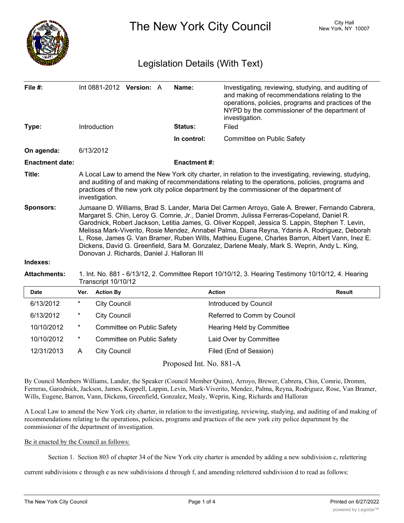

The New York City Council New York, NY 10007

# Legislation Details (With Text)

| File $#$ :             | Int 0881-2012 Version: A                                                                                                                                                                                                                                                                                                                                                                                                                                                                                                                                                                                                                              |  |  | Name:               | Investigating, reviewing, studying, and auditing of<br>and making of recommendations relating to the<br>operations, policies, programs and practices of the<br>NYPD by the commissioner of the department of<br>investigation. |  |  |
|------------------------|-------------------------------------------------------------------------------------------------------------------------------------------------------------------------------------------------------------------------------------------------------------------------------------------------------------------------------------------------------------------------------------------------------------------------------------------------------------------------------------------------------------------------------------------------------------------------------------------------------------------------------------------------------|--|--|---------------------|--------------------------------------------------------------------------------------------------------------------------------------------------------------------------------------------------------------------------------|--|--|
| Type:                  | <b>Introduction</b>                                                                                                                                                                                                                                                                                                                                                                                                                                                                                                                                                                                                                                   |  |  | Status:             | Filed                                                                                                                                                                                                                          |  |  |
|                        |                                                                                                                                                                                                                                                                                                                                                                                                                                                                                                                                                                                                                                                       |  |  | In control:         | Committee on Public Safety                                                                                                                                                                                                     |  |  |
| On agenda:             | 6/13/2012                                                                                                                                                                                                                                                                                                                                                                                                                                                                                                                                                                                                                                             |  |  |                     |                                                                                                                                                                                                                                |  |  |
| <b>Enactment date:</b> |                                                                                                                                                                                                                                                                                                                                                                                                                                                                                                                                                                                                                                                       |  |  | <b>Enactment #:</b> |                                                                                                                                                                                                                                |  |  |
| Title:                 | A Local Law to amend the New York city charter, in relation to the investigating, reviewing, studying,<br>and auditing of and making of recommendations relating to the operations, policies, programs and<br>practices of the new york city police department by the commissioner of the department of<br>investigation.                                                                                                                                                                                                                                                                                                                             |  |  |                     |                                                                                                                                                                                                                                |  |  |
| <b>Sponsors:</b>       | Jumaane D. Williams, Brad S. Lander, Maria Del Carmen Arroyo, Gale A. Brewer, Fernando Cabrera,<br>Margaret S. Chin, Leroy G. Comrie, Jr., Daniel Dromm, Julissa Ferreras-Copeland, Daniel R.<br>Garodnick, Robert Jackson, Letitia James, G. Oliver Koppell, Jessica S. Lappin, Stephen T. Levin,<br>Melissa Mark-Viverito, Rosie Mendez, Annabel Palma, Diana Reyna, Ydanis A. Rodriguez, Deborah<br>L. Rose, James G. Van Bramer, Ruben Wills, Mathieu Eugene, Charles Barron, Albert Vann, Inez E.<br>Dickens, David G. Greenfield, Sara M. Gonzalez, Darlene Mealy, Mark S. Weprin, Andy L. King,<br>Donovan J. Richards, Daniel J. Halloran III |  |  |                     |                                                                                                                                                                                                                                |  |  |
| Indexes:               |                                                                                                                                                                                                                                                                                                                                                                                                                                                                                                                                                                                                                                                       |  |  |                     |                                                                                                                                                                                                                                |  |  |

**Attachments:** 1. Int. No. 881 - 6/13/12, 2. Committee Report 10/10/12, 3. Hearing Testimony 10/10/12, 4. Hearing Transcript 10/10/12

| <b>Date</b> | Ver.   | <b>Action By</b>           | <b>Action</b>               | Result |
|-------------|--------|----------------------------|-----------------------------|--------|
| 6/13/2012   | $\ast$ | <b>City Council</b>        | Introduced by Council       |        |
| 6/13/2012   | $\ast$ | <b>City Council</b>        | Referred to Comm by Council |        |
| 10/10/2012  | $\ast$ | Committee on Public Safety | Hearing Held by Committee   |        |
| 10/10/2012  | $\ast$ | Committee on Public Safety | Laid Over by Committee      |        |
| 12/31/2013  | A      | <b>City Council</b>        | Filed (End of Session)      |        |

Proposed Int. No. 881-A

By Council Members Williams, Lander, the Speaker (Council Member Quinn), Arroyo, Brewer, Cabrera, Chin, Comrie, Dromm, Ferreras, Garodnick, Jackson, James, Koppell, Lappin, Levin, Mark-Viverito, Mendez, Palma, Reyna, Rodriguez, Rose, Van Bramer, Wills, Eugene, Barron, Vann, Dickens, Greenfield, Gonzalez, Mealy, Weprin, King, Richards and Halloran

A Local Law to amend the New York city charter, in relation to the investigating, reviewing, studying, and auditing of and making of recommendations relating to the operations, policies, programs and practices of the new york city police department by the commissioner of the department of investigation.

#### Be it enacted by the Council as follows:

Section 1. Section 803 of chapter 34 of the New York city charter is amended by adding a new subdivision c, relettering

current subdivisions c through e as new subdivisions d through f, and amending relettered subdivision d to read as follows: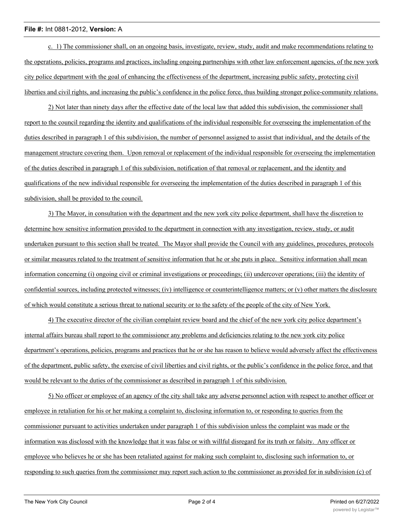#### **File #:** Int 0881-2012, **Version:** A

c. 1) The commissioner shall, on an ongoing basis, investigate, review, study, audit and make recommendations relating to the operations, policies, programs and practices, including ongoing partnerships with other law enforcement agencies, of the new york city police department with the goal of enhancing the effectiveness of the department, increasing public safety, protecting civil liberties and civil rights, and increasing the public's confidence in the police force, thus building stronger police-community relations.

2) Not later than ninety days after the effective date of the local law that added this subdivision, the commissioner shall report to the council regarding the identity and qualifications of the individual responsible for overseeing the implementation of the duties described in paragraph 1 of this subdivision, the number of personnel assigned to assist that individual, and the details of the management structure covering them. Upon removal or replacement of the individual responsible for overseeing the implementation of the duties described in paragraph 1 of this subdivision, notification of that removal or replacement, and the identity and qualifications of the new individual responsible for overseeing the implementation of the duties described in paragraph 1 of this subdivision, shall be provided to the council.

3) The Mayor, in consultation with the department and the new york city police department, shall have the discretion to determine how sensitive information provided to the department in connection with any investigation, review, study, or audit undertaken pursuant to this section shall be treated. The Mayor shall provide the Council with any guidelines, procedures, protocols or similar measures related to the treatment of sensitive information that he or she puts in place. Sensitive information shall mean information concerning (i) ongoing civil or criminal investigations or proceedings; (ii) undercover operations; (iii) the identity of confidential sources, including protected witnesses; (iv) intelligence or counterintelligence matters; or (v) other matters the disclosure of which would constitute a serious threat to national security or to the safety of the people of the city of New York.

4) The executive director of the civilian complaint review board and the chief of the new york city police department's internal affairs bureau shall report to the commissioner any problems and deficiencies relating to the new york city police department's operations, policies, programs and practices that he or she has reason to believe would adversely affect the effectiveness of the department, public safety, the exercise of civil liberties and civil rights, or the public's confidence in the police force, and that would be relevant to the duties of the commissioner as described in paragraph 1 of this subdivision.

5) No officer or employee of an agency of the city shall take any adverse personnel action with respect to another officer or employee in retaliation for his or her making a complaint to, disclosing information to, or responding to queries from the commissioner pursuant to activities undertaken under paragraph 1 of this subdivision unless the complaint was made or the information was disclosed with the knowledge that it was false or with willful disregard for its truth or falsity. Any officer or employee who believes he or she has been retaliated against for making such complaint to, disclosing such information to, or responding to such queries from the commissioner may report such action to the commissioner as provided for in subdivision (c) of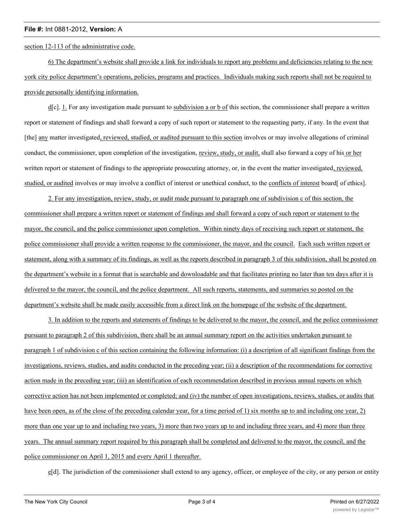#### **File #:** Int 0881-2012, **Version:** A

section 12-113 of the administrative code.

6) The department's website shall provide a link for individuals to report any problems and deficiencies relating to the new york city police department's operations, policies, programs and practices. Individuals making such reports shall not be required to provide personally identifying information.

 $d[c]$ . 1. For any investigation made pursuant to subdivision a or b of this section, the commissioner shall prepare a written report or statement of findings and shall forward a copy of such report or statement to the requesting party, if any. In the event that [the] any matter investigated, reviewed, studied, or audited pursuant to this section involves or may involve allegations of criminal conduct, the commissioner, upon completion of the investigation, review, study, or audit, shall also forward a copy of his or her written report or statement of findings to the appropriate prosecuting attorney, or, in the event the matter investigated, reviewed, studied, or audited involves or may involve a conflict of interest or unethical conduct, to the conflicts of interest board [ of ethics].

2. For any investigation, review, study, or audit made pursuant to paragraph one of subdivision c of this section, the commissioner shall prepare a written report or statement of findings and shall forward a copy of such report or statement to the mayor, the council, and the police commissioner upon completion. Within ninety days of receiving such report or statement, the police commissioner shall provide a written response to the commissioner, the mayor, and the council. Each such written report or statement, along with a summary of its findings, as well as the reports described in paragraph 3 of this subdivision, shall be posted on the department's website in a format that is searchable and downloadable and that facilitates printing no later than ten days after it is delivered to the mayor, the council, and the police department. All such reports, statements, and summaries so posted on the department's website shall be made easily accessible from a direct link on the homepage of the website of the department.

3. In addition to the reports and statements of findings to be delivered to the mayor, the council, and the police commissioner pursuant to paragraph 2 of this subdivision, there shall be an annual summary report on the activities undertaken pursuant to paragraph 1 of subdivision c of this section containing the following information: (i) a description of all significant findings from the investigations, reviews, studies, and audits conducted in the preceding year; (ii) a description of the recommendations for corrective action made in the preceding year; (iii) an identification of each recommendation described in previous annual reports on which corrective action has not been implemented or completed; and (iv) the number of open investigations, reviews, studies, or audits that have been open, as of the close of the preceding calendar year, for a time period of 1) six months up to and including one year, 2) more than one year up to and including two years, 3) more than two years up to and including three years, and 4) more than three years. The annual summary report required by this paragraph shall be completed and delivered to the mayor, the council, and the police commissioner on April 1, 2015 and every April 1 thereafter.

e[d]. The jurisdiction of the commissioner shall extend to any agency, officer, or employee of the city, or any person or entity